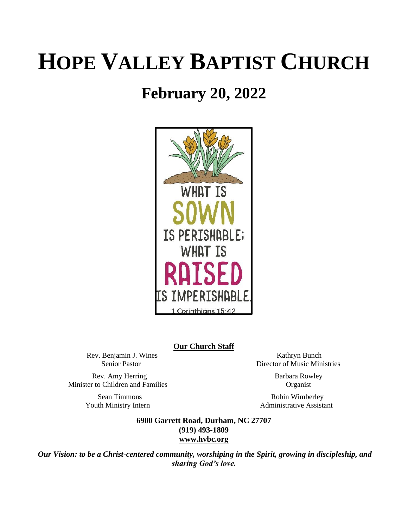# **HOPE VALLEY BAPTIST CHURCH**

# **February 20, 2022**



### **Our Church Staff**

Rev. Benjamin J. Wines Kathryn Bunch

Rev. Amy Herring Barbara Rowley Minister to Children and Families Organist

Senior Pastor Director of Music Ministries

Sean Timmons Robin Wimberley Youth Ministry Intern **Administrative Assistant** 

> **6900 Garrett Road, Durham, NC 27707 (919) 493-1809 [www.hvbc.org](https://nam02.safelinks.protection.outlook.com/?url=http%3A%2F%2Fwww.hvbc.org%2F&data=04%7C01%7Crobin%40hvbc.org%7Ca1947220efe048d45f2008d90f3f5013%7C19334143b857471a909f515a9e93cce3%7C0%7C0%7C637557586922368739%7CUnknown%7CTWFpbGZsb3d8eyJWIjoiMC4wLjAwMDAiLCJQIjoiV2luMzIiLCJBTiI6Ik1haWwiLCJXVCI6Mn0%3D%7C1000&sdata=vD8UY%2Ft%2Bw4fHfO%2FGyoDO3ShGm4jsX4L5zIVu36neNyk%3D&reserved=0)**

*Our Vision: to be a Christ-centered community, worshiping in the Spirit, growing in discipleship, and sharing God's love.*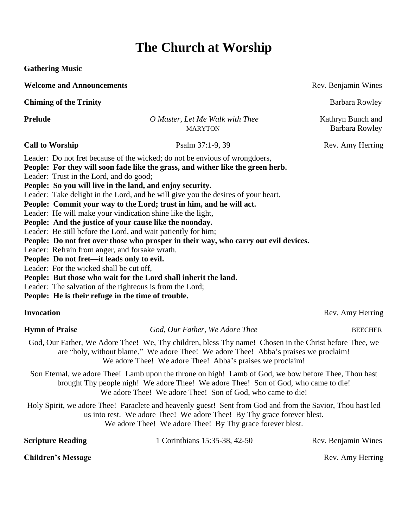# **The Church at Worship**

**Gathering Music**

**Welcome and Announcements Rev. Benjamin Wines Rev. Benjamin Wines** 

**Chiming of the Trinity** Barbara Rowley

**Prelude** *O Master, Let Me Walk with Thee*Kathryn Bunch and MARYTON Barbara Rowley

Leader: Do not fret because of the wicked; do not be envious of wrongdoers,

**People: For they will soon fade like the grass, and wither like the green herb.** Leader: Trust in the Lord, and do good;

**People: So you will live in the land, and enjoy security.**

Leader: Take delight in the Lord, and he will give you the desires of your heart.

**People: Commit your way to the Lord; trust in him, and he will act.**

Leader: He will make your vindication shine like the light,

**People: And the justice of your cause like the noonday.**

Leader: Be still before the Lord, and wait patiently for him;

**People: Do not fret over those who prosper in their way, who carry out evil devices.**

Leader: Refrain from anger, and forsake wrath.

**People: Do not fret—it leads only to evil.**

Leader: For the wicked shall be cut off,

**People: But those who wait for the Lord shall inherit the land.**

Leader: The salvation of the righteous is from the Lord;

**People: He is their refuge in the time of trouble.**

**Hymn of Praise** *God, Our Father, We Adore Thee BEECHER* 

God, Our Father, We Adore Thee! We, Thy children, bless Thy name! Chosen in the Christ before Thee, we are "holy, without blame." We adore Thee! We adore Thee! Abba's praises we proclaim! We adore Thee! We adore Thee! Abba's praises we proclaim!

Son Eternal, we adore Thee! Lamb upon the throne on high! Lamb of God, we bow before Thee, Thou hast brought Thy people nigh! We adore Thee! We adore Thee! Son of God, who came to die! We adore Thee! We adore Thee! Son of God, who came to die!

Holy Spirit, we adore Thee! Paraclete and heavenly guest! Sent from God and from the Savior, Thou hast led us into rest. We adore Thee! We adore Thee! By Thy grace forever blest. We adore Thee! We adore Thee! By Thy grace forever blest.

| <b>Scripture Reading</b>  | 1 Corinthians 15:35-38, 42-50 | Rev. Benjamin Wines |
|---------------------------|-------------------------------|---------------------|
| <b>Children's Message</b> |                               | Rev. Amy Herring    |

**Invocation** Rev. Amy Herring

**Call to Worship Psalm 37:1-9, 39** Rev. Amy Herring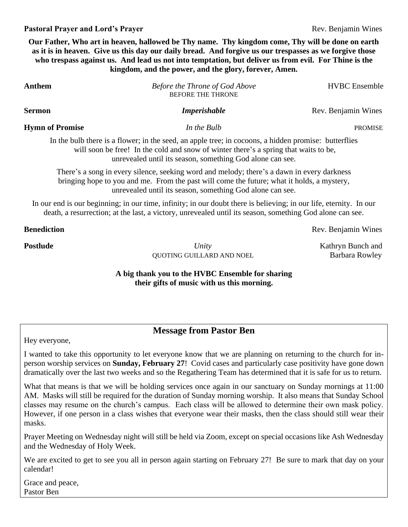### **Pastoral Prayer and Lord's Prayer Rev. Benjamin Wines Rev. Benjamin Wines**

**Our Father, Who art in heaven, hallowed be Thy name. Thy kingdom come, Thy will be done on earth as it is in heaven. Give us this day our daily bread. And forgive us our trespasses as we forgive those who trespass against us. And lead us not into temptation, but deliver us from evil. For Thine is the kingdom, and the power, and the glory, forever, Amen.**

| Anthem                 | Before the Throne of God Above<br>BEFORE THE THRONE                                                                                                                                                                                                       | <b>HVBC</b> Ensemble |
|------------------------|-----------------------------------------------------------------------------------------------------------------------------------------------------------------------------------------------------------------------------------------------------------|----------------------|
| Sermon                 | <b>Imperishable</b>                                                                                                                                                                                                                                       | Rev. Benjamin Wines  |
| <b>Hymn of Promise</b> | In the Bulb                                                                                                                                                                                                                                               | <b>PROMISE</b>       |
|                        | In the bulb there is a flower; in the seed, an apple tree; in cocoons, a hidden promise: butterflies<br>will soon be free! In the cold and snow of winter there's a spring that waits to be,<br>unrevealed until its season, something God alone can see. |                      |
|                        | There's a song in every silence, seeking word and melody; there's a dawn in every darkness<br>bringing hope to you and me. From the past will come the future; what it holds, a mystery,<br>unrevealed until its season, something God alone can see.     |                      |
|                        | In our end is our beginning; in our time, infinity; in our doubt there is believing; in our life, eternity. In our<br>death, a resurrection; at the last, a victory, unrevealed until its season, something God alone can see.                            |                      |
| <b>Benediction</b>     |                                                                                                                                                                                                                                                           | Rev. Benjamin Wines  |
| Postlude               | Unity                                                                                                                                                                                                                                                     | Kathryn Bunch and    |

### **A big thank you to the HVBC Ensemble for sharing their gifts of music with us this morning.**

## **Message from Pastor Ben**

Hey everyone,

I wanted to take this opportunity to let everyone know that we are planning on returning to the church for inperson worship services on **Sunday, February 27**! Covid cases and particularly case positivity have gone down dramatically over the last two weeks and so the Regathering Team has determined that it is safe for us to return.

What that means is that we will be holding services once again in our sanctuary on Sunday mornings at 11:00 AM. Masks will still be required for the duration of Sunday morning worship. It also means that Sunday School classes may resume on the church's campus. Each class will be allowed to determine their own mask policy. However, if one person in a class wishes that everyone wear their masks, then the class should still wear their masks.

Prayer Meeting on Wednesday night will still be held via Zoom, except on special occasions like Ash Wednesday and the Wednesday of Holy Week.

We are excited to get to see you all in person again starting on February 27! Be sure to mark that day on your calendar!

Grace and peace, Pastor Ben

QUOTING GUILLARD AND NOEL Barbara Rowley